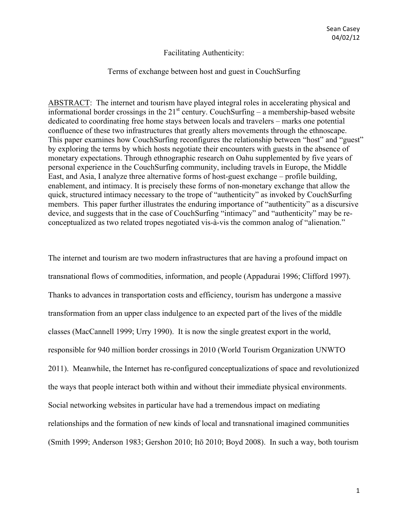### Facilitating Authenticity:

### Terms of exchange between host and guest in CouchSurfing

ABSTRACT:The internet and tourism have played integral roles in accelerating physical and informational border crossings in the  $21<sup>st</sup>$  century. CouchSurfing – a membership-based website dedicated to coordinating free home stays between locals and travelers – marks one potential confluence of these two infrastructures that greatly alters movements through the ethnoscape. This paper examines how CouchSurfing reconfigures the relationship between "host" and "guest" by exploring the terms by which hosts negotiate their encounters with guests in the absence of monetary expectations. Through ethnographic research on Oahu supplemented by five years of personal experience in the CouchSurfing community, including travels in Europe, the Middle East, and Asia, I analyze three alternative forms of host-guest exchange – profile building, enablement, and intimacy. It is precisely these forms of non-monetary exchange that allow the quick, structured intimacy necessary to the trope of "authenticity" as invoked by CouchSurfing members. This paper further illustrates the enduring importance of "authenticity" as a discursive device, and suggests that in the case of CouchSurfing "intimacy" and "authenticity" may be reconceptualized as two related tropes negotiated vis-à-vis the common analog of "alienation."

The internet and tourism are two modern infrastructures that are having a profound impact on transnational flows of commodities, information, and people (Appadurai 1996; Clifford 1997). Thanks to advances in transportation costs and efficiency, tourism has undergone a massive transformation from an upper class indulgence to an expected part of the lives of the middle classes (MacCannell 1999; Urry 1990). It is now the single greatest export in the world, responsible for 940 million border crossings in 2010 (World Tourism Organization UNWTO 2011). Meanwhile, the Internet has re-configured conceptualizations of space and revolutionized the ways that people interact both within and without their immediate physical environments. Social networking websites in particular have had a tremendous impact on mediating relationships and the formation of new kinds of local and transnational imagined communities (Smith 1999; Anderson 1983; Gershon 2010; Itō 2010; Boyd 2008). In such a way, both tourism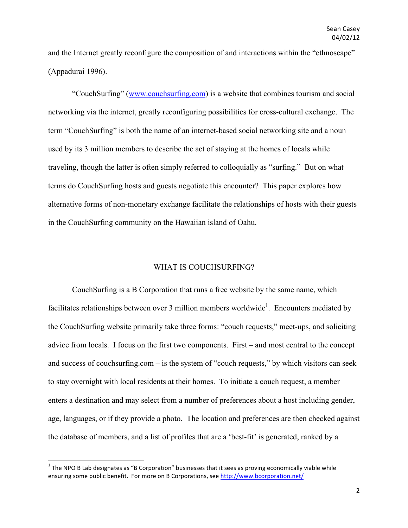and the Internet greatly reconfigure the composition of and interactions within the "ethnoscape" (Appadurai 1996).

"CouchSurfing" (www.couchsurfing.com) is a website that combines tourism and social networking via the internet, greatly reconfiguring possibilities for cross-cultural exchange. The term "CouchSurfing" is both the name of an internet-based social networking site and a noun used by its 3 million members to describe the act of staying at the homes of locals while traveling, though the latter is often simply referred to colloquially as "surfing." But on what terms do CouchSurfing hosts and guests negotiate this encounter? This paper explores how alternative forms of non-monetary exchange facilitate the relationships of hosts with their guests in the CouchSurfing community on the Hawaiian island of Oahu.

### WHAT IS COUCHSURFING?

CouchSurfing is a B Corporation that runs a free website by the same name, which facilitates relationships between over 3 million members worldwide<sup>1</sup>. Encounters mediated by the CouchSurfing website primarily take three forms: "couch requests," meet-ups, and soliciting advice from locals. I focus on the first two components. First – and most central to the concept and success of couchsurfing.com – is the system of "couch requests," by which visitors can seek to stay overnight with local residents at their homes. To initiate a couch request, a member enters a destination and may select from a number of preferences about a host including gender, age, languages, or if they provide a photo. The location and preferences are then checked against the database of members, and a list of profiles that are a 'best-fit' is generated, ranked by a

 $1$  The NPO B Lab designates as "B Corporation" businesses that it sees as proving economically viable while ensuring some public benefit. For more on B Corporations, see http://www.bcorporation.net/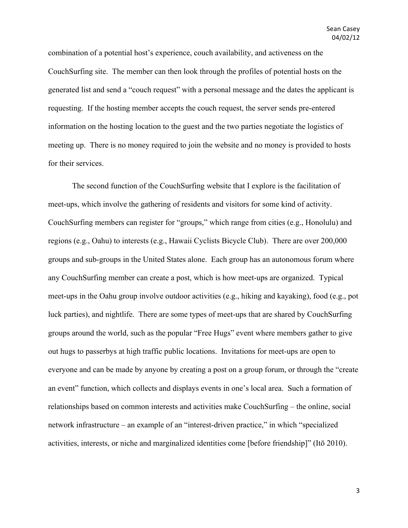combination of a potential host's experience, couch availability, and activeness on the CouchSurfing site. The member can then look through the profiles of potential hosts on the generated list and send a "couch request" with a personal message and the dates the applicant is requesting. If the hosting member accepts the couch request, the server sends pre-entered information on the hosting location to the guest and the two parties negotiate the logistics of meeting up. There is no money required to join the website and no money is provided to hosts for their services.

The second function of the CouchSurfing website that I explore is the facilitation of meet-ups, which involve the gathering of residents and visitors for some kind of activity. CouchSurfing members can register for "groups," which range from cities (e.g., Honolulu) and regions (e.g., Oahu) to interests (e.g., Hawaii Cyclists Bicycle Club). There are over 200,000 groups and sub-groups in the United States alone. Each group has an autonomous forum where any CouchSurfing member can create a post, which is how meet-ups are organized. Typical meet-ups in the Oahu group involve outdoor activities (e.g., hiking and kayaking), food (e.g., pot luck parties), and nightlife. There are some types of meet-ups that are shared by CouchSurfing groups around the world, such as the popular "Free Hugs" event where members gather to give out hugs to passerbys at high traffic public locations. Invitations for meet-ups are open to everyone and can be made by anyone by creating a post on a group forum, or through the "create an event" function, which collects and displays events in one's local area. Such a formation of relationships based on common interests and activities make CouchSurfing – the online, social network infrastructure – an example of an "interest-driven practice," in which "specialized activities, interests, or niche and marginalized identities come [before friendship]" (Itō 2010).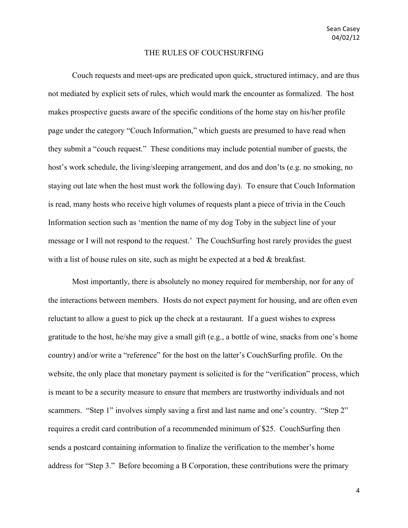#### THE RULES OF COUCHSURFING

Couch requests and meet-ups are predicated upon quick, structured intimacy, and are thus not mediated by explicit sets of rules, which would mark the encounter as formalized. The host makes prospective guests aware of the specific conditions of the home stay on his/her profile page under the category "Couch Information," which guests are presumed to have read when they submit a "couch request." These conditions may include potential number of guests, the host's work schedule, the living/sleeping arrangement, and dos and don'ts (e.g. no smoking, no staying out late when the host must work the following day). To ensure that Couch Information is read, many hosts who receive high volumes of requests plant a piece of trivia in the Couch Information section such as 'mention the name of my dog Toby in the subject line of your message or I will not respond to the request.' The CouchSurfing host rarely provides the guest with a list of house rules on site, such as might be expected at a bed  $\&$  breakfast.

Most importantly, there is absolutely no money required for membership, nor for any of the interactions between members. Hosts do not expect payment for housing, and are often even reluctant to allow a guest to pick up the check at a restaurant. If a guest wishes to express gratitude to the host, he/she may give a small gift (e.g., a bottle of wine, snacks from one's home country) and/or write a "reference" for the host on the latter's CouchSurfing profile. On the website, the only place that monetary payment is solicited is for the "verification" process, which is meant to be a security measure to ensure that members are trustworthy individuals and not scammers. "Step 1" involves simply saving a first and last name and one's country. "Step 2" requires a credit card contribution of a recommended minimum of \$25. CouchSurfing then sends a postcard containing information to finalize the verification to the member's home address for "Step 3." Before becoming a B Corporation, these contributions were the primary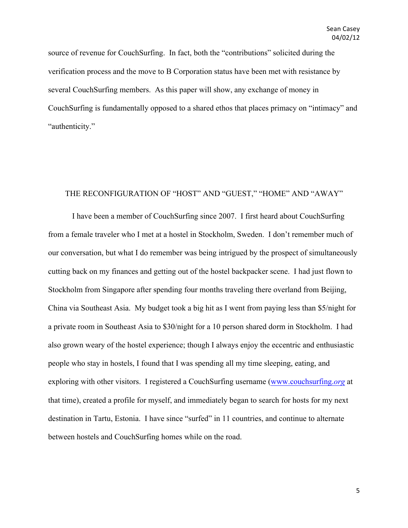source of revenue for CouchSurfing. In fact, both the "contributions" solicited during the verification process and the move to B Corporation status have been met with resistance by several CouchSurfing members. As this paper will show, any exchange of money in CouchSurfing is fundamentally opposed to a shared ethos that places primacy on "intimacy" and "authenticity."

### THE RECONFIGURATION OF "HOST" AND "GUEST," "HOME" AND "AWAY"

I have been a member of CouchSurfing since 2007. I first heard about CouchSurfing from a female traveler who I met at a hostel in Stockholm, Sweden. I don't remember much of our conversation, but what I do remember was being intrigued by the prospect of simultaneously cutting back on my finances and getting out of the hostel backpacker scene. I had just flown to Stockholm from Singapore after spending four months traveling there overland from Beijing, China via Southeast Asia. My budget took a big hit as I went from paying less than \$5/night for a private room in Southeast Asia to \$30/night for a 10 person shared dorm in Stockholm. I had also grown weary of the hostel experience; though I always enjoy the eccentric and enthusiastic people who stay in hostels, I found that I was spending all my time sleeping, eating, and exploring with other visitors. I registered a CouchSurfing username (www.couchsurfing.*org* at that time), created a profile for myself, and immediately began to search for hosts for my next destination in Tartu, Estonia. I have since "surfed" in 11 countries, and continue to alternate between hostels and CouchSurfing homes while on the road.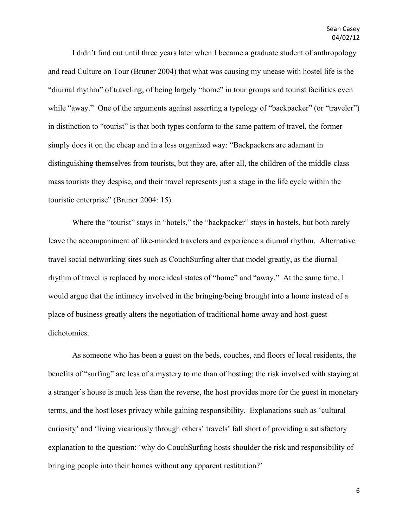I didn't find out until three years later when I became a graduate student of anthropology and read Culture on Tour (Bruner 2004) that what was causing my unease with hostel life is the "diurnal rhythm" of traveling, of being largely "home" in tour groups and tourist facilities even while "away." One of the arguments against asserting a typology of "backpacker" (or "traveler") in distinction to "tourist" is that both types conform to the same pattern of travel, the former simply does it on the cheap and in a less organized way: "Backpackers are adamant in distinguishing themselves from tourists, but they are, after all, the children of the middle-class mass tourists they despise, and their travel represents just a stage in the life cycle within the touristic enterprise" (Bruner 2004: 15).

Where the "tourist" stays in "hotels," the "backpacker" stays in hostels, but both rarely leave the accompaniment of like-minded travelers and experience a diurnal rhythm. Alternative travel social networking sites such as CouchSurfing alter that model greatly, as the diurnal rhythm of travel is replaced by more ideal states of "home" and "away." At the same time, I would argue that the intimacy involved in the bringing/being brought into a home instead of a place of business greatly alters the negotiation of traditional home-away and host-guest dichotomies.

As someone who has been a guest on the beds, couches, and floors of local residents, the benefits of "surfing" are less of a mystery to me than of hosting; the risk involved with staying at a stranger's house is much less than the reverse, the host provides more for the guest in monetary terms, and the host loses privacy while gaining responsibility. Explanations such as 'cultural curiosity' and 'living vicariously through others' travels' fall short of providing a satisfactory explanation to the question: 'why do CouchSurfing hosts shoulder the risk and responsibility of bringing people into their homes without any apparent restitution?'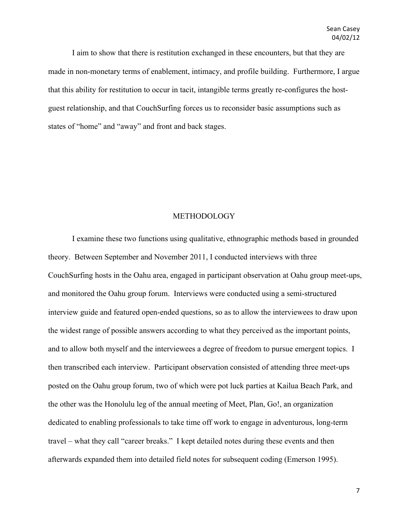I aim to show that there is restitution exchanged in these encounters, but that they are made in non-monetary terms of enablement, intimacy, and profile building. Furthermore, I argue that this ability for restitution to occur in tacit, intangible terms greatly re-configures the hostguest relationship, and that CouchSurfing forces us to reconsider basic assumptions such as states of "home" and "away" and front and back stages.

### METHODOLOGY

I examine these two functions using qualitative, ethnographic methods based in grounded theory. Between September and November 2011, I conducted interviews with three CouchSurfing hosts in the Oahu area, engaged in participant observation at Oahu group meet-ups, and monitored the Oahu group forum. Interviews were conducted using a semi-structured interview guide and featured open-ended questions, so as to allow the interviewees to draw upon the widest range of possible answers according to what they perceived as the important points, and to allow both myself and the interviewees a degree of freedom to pursue emergent topics. I then transcribed each interview. Participant observation consisted of attending three meet-ups posted on the Oahu group forum, two of which were pot luck parties at Kailua Beach Park, and the other was the Honolulu leg of the annual meeting of Meet, Plan, Go!, an organization dedicated to enabling professionals to take time off work to engage in adventurous, long-term travel – what they call "career breaks." I kept detailed notes during these events and then afterwards expanded them into detailed field notes for subsequent coding (Emerson 1995).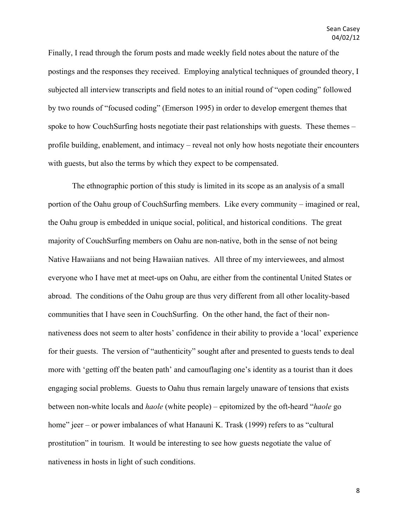Finally, I read through the forum posts and made weekly field notes about the nature of the postings and the responses they received. Employing analytical techniques of grounded theory, I subjected all interview transcripts and field notes to an initial round of "open coding" followed by two rounds of "focused coding" (Emerson 1995) in order to develop emergent themes that spoke to how CouchSurfing hosts negotiate their past relationships with guests. These themes – profile building, enablement, and intimacy – reveal not only how hosts negotiate their encounters with guests, but also the terms by which they expect to be compensated.

The ethnographic portion of this study is limited in its scope as an analysis of a small portion of the Oahu group of CouchSurfing members. Like every community – imagined or real, the Oahu group is embedded in unique social, political, and historical conditions. The great majority of CouchSurfing members on Oahu are non-native, both in the sense of not being Native Hawaiians and not being Hawaiian natives. All three of my interviewees, and almost everyone who I have met at meet-ups on Oahu, are either from the continental United States or abroad. The conditions of the Oahu group are thus very different from all other locality-based communities that I have seen in CouchSurfing. On the other hand, the fact of their nonnativeness does not seem to alter hosts' confidence in their ability to provide a 'local' experience for their guests. The version of "authenticity" sought after and presented to guests tends to deal more with 'getting off the beaten path' and camouflaging one's identity as a tourist than it does engaging social problems. Guests to Oahu thus remain largely unaware of tensions that exists between non-white locals and *haole* (white people) – epitomized by the oft-heard "*haole* go home" jeer – or power imbalances of what Hanauni K. Trask (1999) refers to as "cultural prostitution" in tourism. It would be interesting to see how guests negotiate the value of nativeness in hosts in light of such conditions.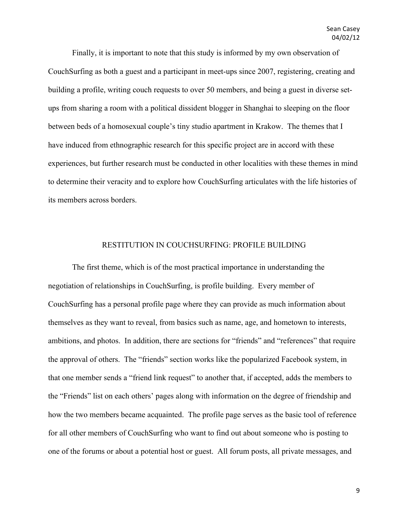Finally, it is important to note that this study is informed by my own observation of CouchSurfing as both a guest and a participant in meet-ups since 2007, registering, creating and building a profile, writing couch requests to over 50 members, and being a guest in diverse setups from sharing a room with a political dissident blogger in Shanghai to sleeping on the floor between beds of a homosexual couple's tiny studio apartment in Krakow. The themes that I have induced from ethnographic research for this specific project are in accord with these experiences, but further research must be conducted in other localities with these themes in mind to determine their veracity and to explore how CouchSurfing articulates with the life histories of its members across borders.

## RESTITUTION IN COUCHSURFING: PROFILE BUILDING

The first theme, which is of the most practical importance in understanding the negotiation of relationships in CouchSurfing, is profile building. Every member of CouchSurfing has a personal profile page where they can provide as much information about themselves as they want to reveal, from basics such as name, age, and hometown to interests, ambitions, and photos. In addition, there are sections for "friends" and "references" that require the approval of others. The "friends" section works like the popularized Facebook system, in that one member sends a "friend link request" to another that, if accepted, adds the members to the "Friends" list on each others' pages along with information on the degree of friendship and how the two members became acquainted. The profile page serves as the basic tool of reference for all other members of CouchSurfing who want to find out about someone who is posting to one of the forums or about a potential host or guest. All forum posts, all private messages, and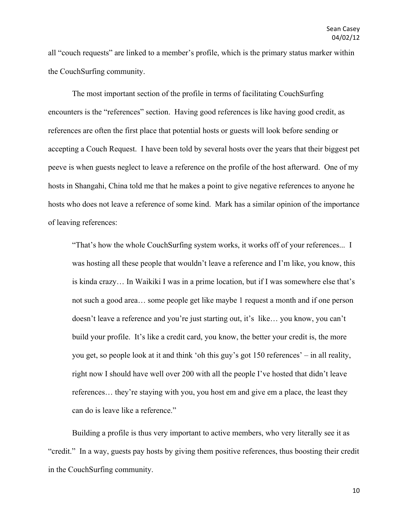all "couch requests" are linked to a member's profile, which is the primary status marker within the CouchSurfing community.

The most important section of the profile in terms of facilitating CouchSurfing encounters is the "references" section. Having good references is like having good credit, as references are often the first place that potential hosts or guests will look before sending or accepting a Couch Request. I have been told by several hosts over the years that their biggest pet peeve is when guests neglect to leave a reference on the profile of the host afterward. One of my hosts in Shangahi, China told me that he makes a point to give negative references to anyone he hosts who does not leave a reference of some kind. Mark has a similar opinion of the importance of leaving references:

"That's how the whole CouchSurfing system works, it works off of your references... I was hosting all these people that wouldn't leave a reference and I'm like, you know, this is kinda crazy… In Waikiki I was in a prime location, but if I was somewhere else that's not such a good area… some people get like maybe 1 request a month and if one person doesn't leave a reference and you're just starting out, it's like… you know, you can't build your profile. It's like a credit card, you know, the better your credit is, the more you get, so people look at it and think 'oh this guy's got 150 references' – in all reality, right now I should have well over 200 with all the people I've hosted that didn't leave references… they're staying with you, you host em and give em a place, the least they can do is leave like a reference."

Building a profile is thus very important to active members, who very literally see it as "credit." In a way, guests pay hosts by giving them positive references, thus boosting their credit in the CouchSurfing community.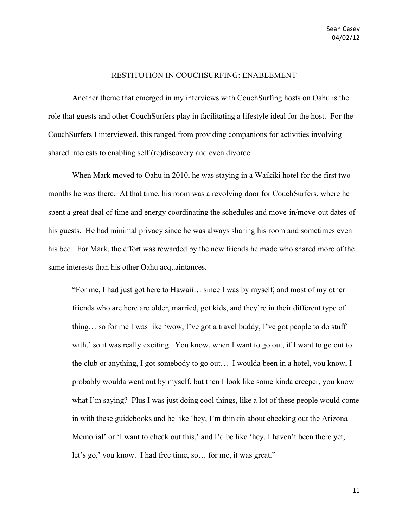#### RESTITUTION IN COUCHSURFING: ENABLEMENT

Another theme that emerged in my interviews with CouchSurfing hosts on Oahu is the role that guests and other CouchSurfers play in facilitating a lifestyle ideal for the host. For the CouchSurfers I interviewed, this ranged from providing companions for activities involving shared interests to enabling self (re)discovery and even divorce.

When Mark moved to Oahu in 2010, he was staying in a Waikiki hotel for the first two months he was there. At that time, his room was a revolving door for CouchSurfers, where he spent a great deal of time and energy coordinating the schedules and move-in/move-out dates of his guests. He had minimal privacy since he was always sharing his room and sometimes even his bed. For Mark, the effort was rewarded by the new friends he made who shared more of the same interests than his other Oahu acquaintances.

"For me, I had just got here to Hawaii… since I was by myself, and most of my other friends who are here are older, married, got kids, and they're in their different type of thing… so for me I was like 'wow, I've got a travel buddy, I've got people to do stuff with,' so it was really exciting. You know, when I want to go out, if I want to go out to the club or anything, I got somebody to go out… I woulda been in a hotel, you know, I probably woulda went out by myself, but then I look like some kinda creeper, you know what I'm saying? Plus I was just doing cool things, like a lot of these people would come in with these guidebooks and be like 'hey, I'm thinkin about checking out the Arizona Memorial' or 'I want to check out this,' and I'd be like 'hey, I haven't been there yet, let's go,' you know. I had free time, so… for me, it was great."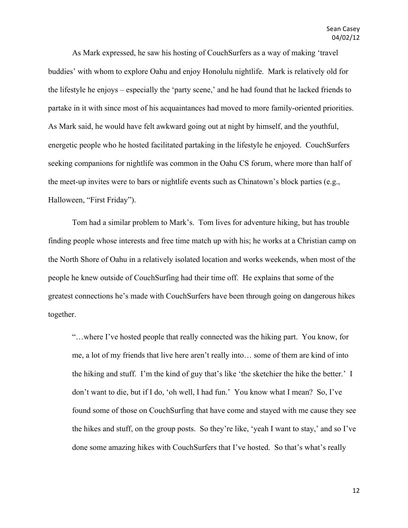As Mark expressed, he saw his hosting of CouchSurfers as a way of making 'travel buddies' with whom to explore Oahu and enjoy Honolulu nightlife. Mark is relatively old for the lifestyle he enjoys – especially the 'party scene,' and he had found that he lacked friends to partake in it with since most of his acquaintances had moved to more family-oriented priorities. As Mark said, he would have felt awkward going out at night by himself, and the youthful, energetic people who he hosted facilitated partaking in the lifestyle he enjoyed. CouchSurfers seeking companions for nightlife was common in the Oahu CS forum, where more than half of the meet-up invites were to bars or nightlife events such as Chinatown's block parties (e.g., Halloween, "First Friday").

Tom had a similar problem to Mark's. Tom lives for adventure hiking, but has trouble finding people whose interests and free time match up with his; he works at a Christian camp on the North Shore of Oahu in a relatively isolated location and works weekends, when most of the people he knew outside of CouchSurfing had their time off. He explains that some of the greatest connections he's made with CouchSurfers have been through going on dangerous hikes together.

"…where I've hosted people that really connected was the hiking part. You know, for me, a lot of my friends that live here aren't really into… some of them are kind of into the hiking and stuff. I'm the kind of guy that's like 'the sketchier the hike the better.' I don't want to die, but if I do, 'oh well, I had fun.' You know what I mean? So, I've found some of those on CouchSurfing that have come and stayed with me cause they see the hikes and stuff, on the group posts. So they're like, 'yeah I want to stay,' and so I've done some amazing hikes with CouchSurfers that I've hosted. So that's what's really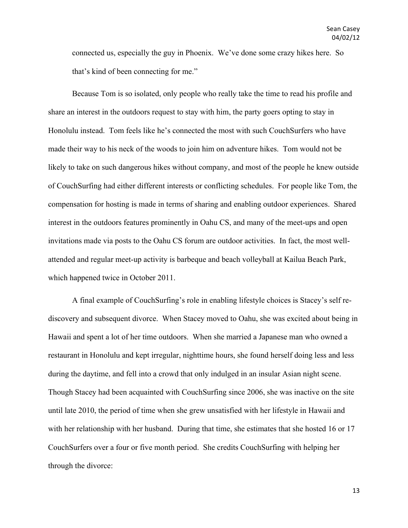connected us, especially the guy in Phoenix. We've done some crazy hikes here. So that's kind of been connecting for me."

Because Tom is so isolated, only people who really take the time to read his profile and share an interest in the outdoors request to stay with him, the party goers opting to stay in Honolulu instead. Tom feels like he's connected the most with such CouchSurfers who have made their way to his neck of the woods to join him on adventure hikes. Tom would not be likely to take on such dangerous hikes without company, and most of the people he knew outside of CouchSurfing had either different interests or conflicting schedules. For people like Tom, the compensation for hosting is made in terms of sharing and enabling outdoor experiences. Shared interest in the outdoors features prominently in Oahu CS, and many of the meet-ups and open invitations made via posts to the Oahu CS forum are outdoor activities. In fact, the most wellattended and regular meet-up activity is barbeque and beach volleyball at Kailua Beach Park, which happened twice in October 2011.

A final example of CouchSurfing's role in enabling lifestyle choices is Stacey's self rediscovery and subsequent divorce. When Stacey moved to Oahu, she was excited about being in Hawaii and spent a lot of her time outdoors. When she married a Japanese man who owned a restaurant in Honolulu and kept irregular, nighttime hours, she found herself doing less and less during the daytime, and fell into a crowd that only indulged in an insular Asian night scene. Though Stacey had been acquainted with CouchSurfing since 2006, she was inactive on the site until late 2010, the period of time when she grew unsatisfied with her lifestyle in Hawaii and with her relationship with her husband. During that time, she estimates that she hosted 16 or 17 CouchSurfers over a four or five month period. She credits CouchSurfing with helping her through the divorce: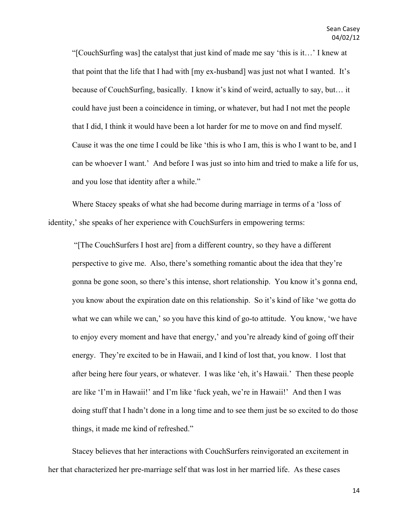"[CouchSurfing was] the catalyst that just kind of made me say 'this is it…' I knew at that point that the life that I had with [my ex-husband] was just not what I wanted. It's because of CouchSurfing, basically. I know it's kind of weird, actually to say, but… it could have just been a coincidence in timing, or whatever, but had I not met the people that I did, I think it would have been a lot harder for me to move on and find myself. Cause it was the one time I could be like 'this is who I am, this is who I want to be, and I can be whoever I want.' And before I was just so into him and tried to make a life for us, and you lose that identity after a while."

Where Stacey speaks of what she had become during marriage in terms of a 'loss of identity,' she speaks of her experience with CouchSurfers in empowering terms:

"[The CouchSurfers I host are] from a different country, so they have a different perspective to give me. Also, there's something romantic about the idea that they're gonna be gone soon, so there's this intense, short relationship. You know it's gonna end, you know about the expiration date on this relationship. So it's kind of like 'we gotta do what we can while we can,' so you have this kind of go-to attitude. You know, 'we have to enjoy every moment and have that energy,' and you're already kind of going off their energy. They're excited to be in Hawaii, and I kind of lost that, you know. I lost that after being here four years, or whatever. I was like 'eh, it's Hawaii.' Then these people are like 'I'm in Hawaii!' and I'm like 'fuck yeah, we're in Hawaii!' And then I was doing stuff that I hadn't done in a long time and to see them just be so excited to do those things, it made me kind of refreshed."

Stacey believes that her interactions with CouchSurfers reinvigorated an excitement in her that characterized her pre-marriage self that was lost in her married life. As these cases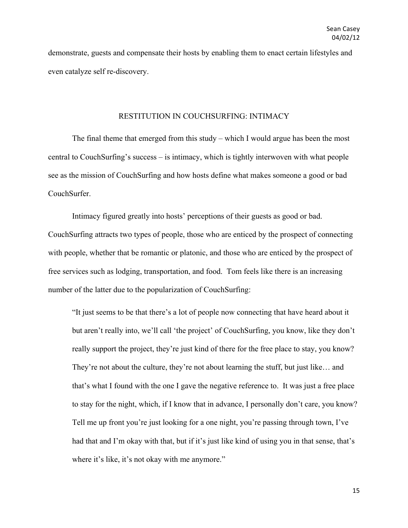demonstrate, guests and compensate their hosts by enabling them to enact certain lifestyles and even catalyze self re-discovery.

# RESTITUTION IN COUCHSURFING: INTIMACY

The final theme that emerged from this study – which I would argue has been the most central to CouchSurfing's success – is intimacy, which is tightly interwoven with what people see as the mission of CouchSurfing and how hosts define what makes someone a good or bad CouchSurfer.

Intimacy figured greatly into hosts' perceptions of their guests as good or bad. CouchSurfing attracts two types of people, those who are enticed by the prospect of connecting with people, whether that be romantic or platonic, and those who are enticed by the prospect of free services such as lodging, transportation, and food. Tom feels like there is an increasing number of the latter due to the popularization of CouchSurfing:

"It just seems to be that there's a lot of people now connecting that have heard about it but aren't really into, we'll call 'the project' of CouchSurfing, you know, like they don't really support the project, they're just kind of there for the free place to stay, you know? They're not about the culture, they're not about learning the stuff, but just like… and that's what I found with the one I gave the negative reference to. It was just a free place to stay for the night, which, if I know that in advance, I personally don't care, you know? Tell me up front you're just looking for a one night, you're passing through town, I've had that and I'm okay with that, but if it's just like kind of using you in that sense, that's where it's like, it's not okay with me anymore."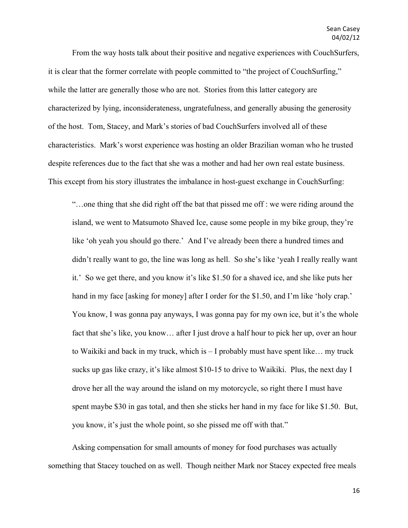From the way hosts talk about their positive and negative experiences with CouchSurfers, it is clear that the former correlate with people committed to "the project of CouchSurfing," while the latter are generally those who are not. Stories from this latter category are characterized by lying, inconsiderateness, ungratefulness, and generally abusing the generosity of the host. Tom, Stacey, and Mark's stories of bad CouchSurfers involved all of these characteristics. Mark's worst experience was hosting an older Brazilian woman who he trusted despite references due to the fact that she was a mother and had her own real estate business. This except from his story illustrates the imbalance in host-guest exchange in CouchSurfing:

"…one thing that she did right off the bat that pissed me off : we were riding around the island, we went to Matsumoto Shaved Ice, cause some people in my bike group, they're like 'oh yeah you should go there.' And I've already been there a hundred times and didn't really want to go, the line was long as hell. So she's like 'yeah I really really want it.' So we get there, and you know it's like \$1.50 for a shaved ice, and she like puts her hand in my face [asking for money] after I order for the \$1.50, and I'm like 'holy crap.' You know, I was gonna pay anyways, I was gonna pay for my own ice, but it's the whole fact that she's like, you know… after I just drove a half hour to pick her up, over an hour to Waikiki and back in my truck, which is – I probably must have spent like… my truck sucks up gas like crazy, it's like almost \$10-15 to drive to Waikiki. Plus, the next day I drove her all the way around the island on my motorcycle, so right there I must have spent maybe \$30 in gas total, and then she sticks her hand in my face for like \$1.50. But, you know, it's just the whole point, so she pissed me off with that."

Asking compensation for small amounts of money for food purchases was actually something that Stacey touched on as well. Though neither Mark nor Stacey expected free meals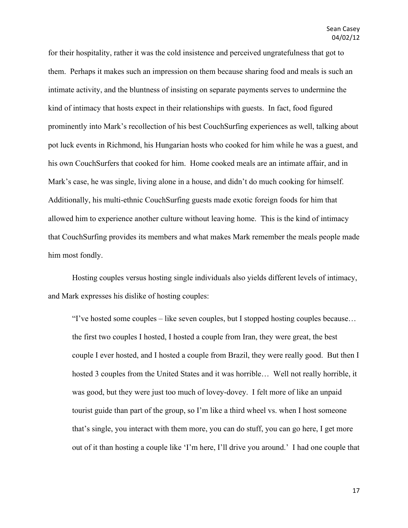for their hospitality, rather it was the cold insistence and perceived ungratefulness that got to them. Perhaps it makes such an impression on them because sharing food and meals is such an intimate activity, and the bluntness of insisting on separate payments serves to undermine the kind of intimacy that hosts expect in their relationships with guests. In fact, food figured prominently into Mark's recollection of his best CouchSurfing experiences as well, talking about pot luck events in Richmond, his Hungarian hosts who cooked for him while he was a guest, and his own CouchSurfers that cooked for him. Home cooked meals are an intimate affair, and in Mark's case, he was single, living alone in a house, and didn't do much cooking for himself. Additionally, his multi-ethnic CouchSurfing guests made exotic foreign foods for him that allowed him to experience another culture without leaving home. This is the kind of intimacy that CouchSurfing provides its members and what makes Mark remember the meals people made him most fondly.

Hosting couples versus hosting single individuals also yields different levels of intimacy, and Mark expresses his dislike of hosting couples:

"I've hosted some couples – like seven couples, but I stopped hosting couples because… the first two couples I hosted, I hosted a couple from Iran, they were great, the best couple I ever hosted, and I hosted a couple from Brazil, they were really good. But then I hosted 3 couples from the United States and it was horrible… Well not really horrible, it was good, but they were just too much of lovey-dovey. I felt more of like an unpaid tourist guide than part of the group, so I'm like a third wheel vs. when I host someone that's single, you interact with them more, you can do stuff, you can go here, I get more out of it than hosting a couple like 'I'm here, I'll drive you around.' I had one couple that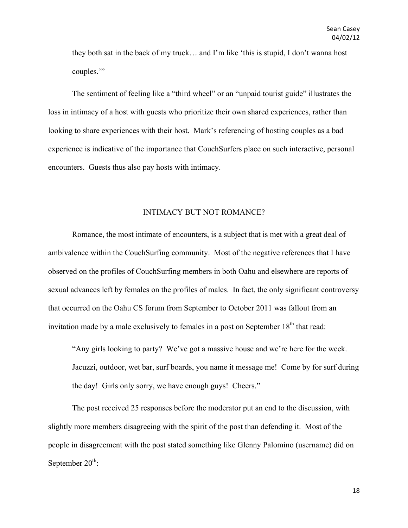they both sat in the back of my truck… and I'm like 'this is stupid, I don't wanna host couples.'"

The sentiment of feeling like a "third wheel" or an "unpaid tourist guide" illustrates the loss in intimacy of a host with guests who prioritize their own shared experiences, rather than looking to share experiences with their host. Mark's referencing of hosting couples as a bad experience is indicative of the importance that CouchSurfers place on such interactive, personal encounters. Guests thus also pay hosts with intimacy.

### INTIMACY BUT NOT ROMANCE?

Romance, the most intimate of encounters, is a subject that is met with a great deal of ambivalence within the CouchSurfing community. Most of the negative references that I have observed on the profiles of CouchSurfing members in both Oahu and elsewhere are reports of sexual advances left by females on the profiles of males. In fact, the only significant controversy that occurred on the Oahu CS forum from September to October 2011 was fallout from an invitation made by a male exclusively to females in a post on September  $18<sup>th</sup>$  that read:

"Any girls looking to party? We've got a massive house and we're here for the week. Jacuzzi, outdoor, wet bar, surf boards, you name it message me! Come by for surf during the day! Girls only sorry, we have enough guys! Cheers."

The post received 25 responses before the moderator put an end to the discussion, with slightly more members disagreeing with the spirit of the post than defending it. Most of the people in disagreement with the post stated something like Glenny Palomino (username) did on September  $20^{\text{th}}$ :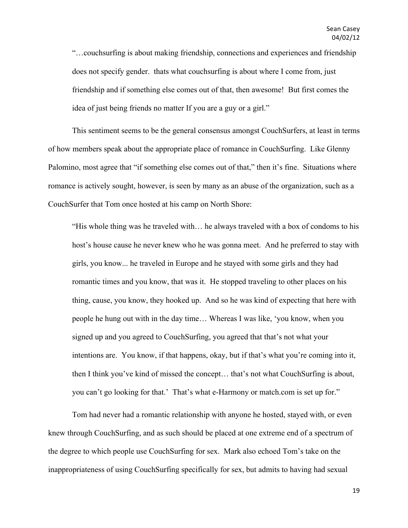"…couchsurfing is about making friendship, connections and experiences and friendship does not specify gender. thats what couchsurfing is about where I come from, just friendship and if something else comes out of that, then awesome! But first comes the idea of just being friends no matter If you are a guy or a girl."

This sentiment seems to be the general consensus amongst CouchSurfers, at least in terms of how members speak about the appropriate place of romance in CouchSurfing. Like Glenny Palomino, most agree that "if something else comes out of that," then it's fine. Situations where romance is actively sought, however, is seen by many as an abuse of the organization, such as a CouchSurfer that Tom once hosted at his camp on North Shore:

"His whole thing was he traveled with… he always traveled with a box of condoms to his host's house cause he never knew who he was gonna meet. And he preferred to stay with girls, you know... he traveled in Europe and he stayed with some girls and they had romantic times and you know, that was it. He stopped traveling to other places on his thing, cause, you know, they hooked up. And so he was kind of expecting that here with people he hung out with in the day time… Whereas I was like, 'you know, when you signed up and you agreed to CouchSurfing, you agreed that that's not what your intentions are. You know, if that happens, okay, but if that's what you're coming into it, then I think you've kind of missed the concept… that's not what CouchSurfing is about, you can't go looking for that.' That's what e-Harmony or match.com is set up for."

Tom had never had a romantic relationship with anyone he hosted, stayed with, or even knew through CouchSurfing, and as such should be placed at one extreme end of a spectrum of the degree to which people use CouchSurfing for sex. Mark also echoed Tom's take on the inappropriateness of using CouchSurfing specifically for sex, but admits to having had sexual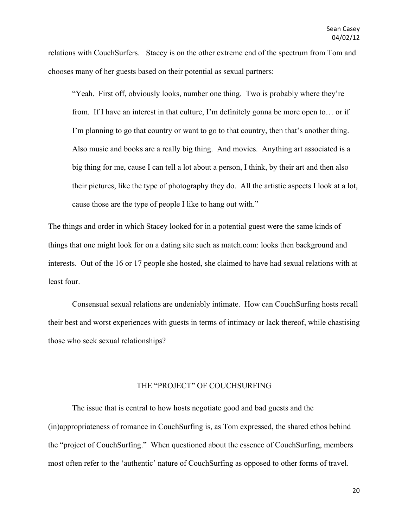relations with CouchSurfers. Stacey is on the other extreme end of the spectrum from Tom and chooses many of her guests based on their potential as sexual partners:

"Yeah. First off, obviously looks, number one thing. Two is probably where they're from. If I have an interest in that culture, I'm definitely gonna be more open to… or if I'm planning to go that country or want to go to that country, then that's another thing. Also music and books are a really big thing. And movies. Anything art associated is a big thing for me, cause I can tell a lot about a person, I think, by their art and then also their pictures, like the type of photography they do. All the artistic aspects I look at a lot, cause those are the type of people I like to hang out with."

The things and order in which Stacey looked for in a potential guest were the same kinds of things that one might look for on a dating site such as match.com: looks then background and interests. Out of the 16 or 17 people she hosted, she claimed to have had sexual relations with at least four.

Consensual sexual relations are undeniably intimate. How can CouchSurfing hosts recall their best and worst experiences with guests in terms of intimacy or lack thereof, while chastising those who seek sexual relationships?

#### THE "PROJECT" OF COUCHSURFING

The issue that is central to how hosts negotiate good and bad guests and the (in)appropriateness of romance in CouchSurfing is, as Tom expressed, the shared ethos behind the "project of CouchSurfing." When questioned about the essence of CouchSurfing, members most often refer to the 'authentic' nature of CouchSurfing as opposed to other forms of travel.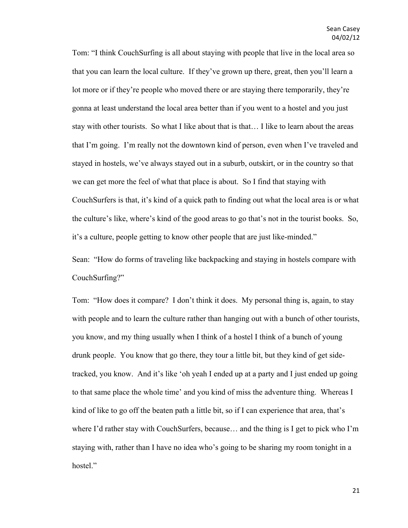Tom: "I think CouchSurfing is all about staying with people that live in the local area so that you can learn the local culture. If they've grown up there, great, then you'll learn a lot more or if they're people who moved there or are staying there temporarily, they're gonna at least understand the local area better than if you went to a hostel and you just stay with other tourists. So what I like about that is that… I like to learn about the areas that I'm going. I'm really not the downtown kind of person, even when I've traveled and stayed in hostels, we've always stayed out in a suburb, outskirt, or in the country so that we can get more the feel of what that place is about. So I find that staying with CouchSurfers is that, it's kind of a quick path to finding out what the local area is or what the culture's like, where's kind of the good areas to go that's not in the tourist books. So, it's a culture, people getting to know other people that are just like-minded."

Sean: "How do forms of traveling like backpacking and staying in hostels compare with CouchSurfing?"

Tom: "How does it compare? I don't think it does. My personal thing is, again, to stay with people and to learn the culture rather than hanging out with a bunch of other tourists, you know, and my thing usually when I think of a hostel I think of a bunch of young drunk people. You know that go there, they tour a little bit, but they kind of get sidetracked, you know. And it's like 'oh yeah I ended up at a party and I just ended up going to that same place the whole time' and you kind of miss the adventure thing. Whereas I kind of like to go off the beaten path a little bit, so if I can experience that area, that's where I'd rather stay with CouchSurfers, because… and the thing is I get to pick who I'm staying with, rather than I have no idea who's going to be sharing my room tonight in a hostel."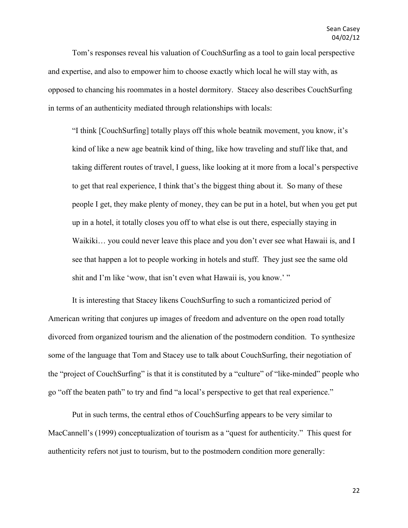Tom's responses reveal his valuation of CouchSurfing as a tool to gain local perspective and expertise, and also to empower him to choose exactly which local he will stay with, as opposed to chancing his roommates in a hostel dormitory. Stacey also describes CouchSurfing in terms of an authenticity mediated through relationships with locals:

"I think [CouchSurfing] totally plays off this whole beatnik movement, you know, it's kind of like a new age beatnik kind of thing, like how traveling and stuff like that, and taking different routes of travel, I guess, like looking at it more from a local's perspective to get that real experience, I think that's the biggest thing about it. So many of these people I get, they make plenty of money, they can be put in a hotel, but when you get put up in a hotel, it totally closes you off to what else is out there, especially staying in Waikiki... you could never leave this place and you don't ever see what Hawaii is, and I see that happen a lot to people working in hotels and stuff. They just see the same old shit and I'm like 'wow, that isn't even what Hawaii is, you know.'"

It is interesting that Stacey likens CouchSurfing to such a romanticized period of American writing that conjures up images of freedom and adventure on the open road totally divorced from organized tourism and the alienation of the postmodern condition. To synthesize some of the language that Tom and Stacey use to talk about CouchSurfing, their negotiation of the "project of CouchSurfing" is that it is constituted by a "culture" of "like-minded" people who go "off the beaten path" to try and find "a local's perspective to get that real experience."

Put in such terms, the central ethos of CouchSurfing appears to be very similar to MacCannell's (1999) conceptualization of tourism as a "quest for authenticity." This quest for authenticity refers not just to tourism, but to the postmodern condition more generally: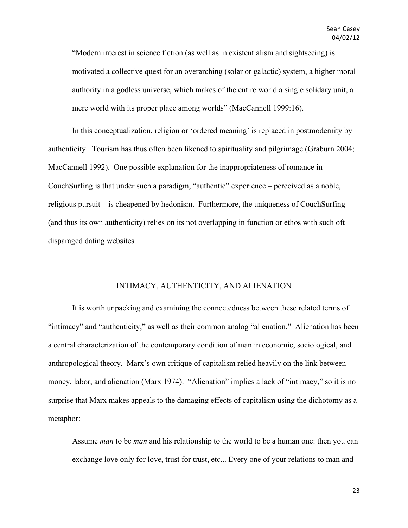"Modern interest in science fiction (as well as in existentialism and sightseeing) is motivated a collective quest for an overarching (solar or galactic) system, a higher moral authority in a godless universe, which makes of the entire world a single solidary unit, a mere world with its proper place among worlds" (MacCannell 1999:16).

In this conceptualization, religion or 'ordered meaning' is replaced in postmodernity by authenticity. Tourism has thus often been likened to spirituality and pilgrimage (Graburn 2004; MacCannell 1992). One possible explanation for the inappropriateness of romance in CouchSurfing is that under such a paradigm, "authentic" experience – perceived as a noble, religious pursuit – is cheapened by hedonism. Furthermore, the uniqueness of CouchSurfing (and thus its own authenticity) relies on its not overlapping in function or ethos with such oft disparaged dating websites.

## INTIMACY, AUTHENTICITY, AND ALIENATION

It is worth unpacking and examining the connectedness between these related terms of "intimacy" and "authenticity," as well as their common analog "alienation." Alienation has been a central characterization of the contemporary condition of man in economic, sociological, and anthropological theory. Marx's own critique of capitalism relied heavily on the link between money, labor, and alienation (Marx 1974). "Alienation" implies a lack of "intimacy," so it is no surprise that Marx makes appeals to the damaging effects of capitalism using the dichotomy as a metaphor:

Assume *man* to be *man* and his relationship to the world to be a human one: then you can exchange love only for love, trust for trust, etc... Every one of your relations to man and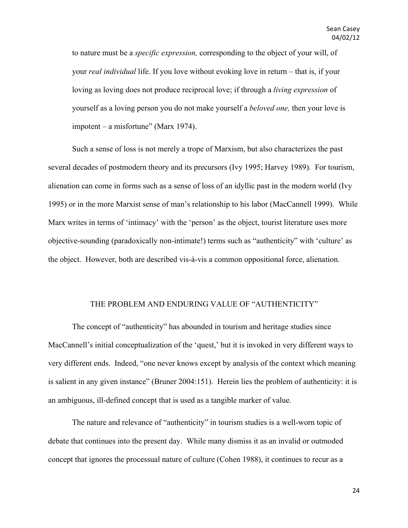to nature must be a *specific expression,* corresponding to the object of your will, of your *real individual* life. If you love without evoking love in return – that is, if your loving as loving does not produce reciprocal love; if through a *living expression* of yourself as a loving person you do not make yourself a *beloved one,* then your love is impotent – a misfortune" (Marx 1974).

Such a sense of loss is not merely a trope of Marxism, but also characterizes the past several decades of postmodern theory and its precursors (Ivy 1995; Harvey 1989). For tourism, alienation can come in forms such as a sense of loss of an idyllic past in the modern world (Ivy 1995) or in the more Marxist sense of man's relationship to his labor (MacCannell 1999). While Marx writes in terms of 'intimacy' with the 'person' as the object, tourist literature uses more objective-sounding (paradoxically non-intimate!) terms such as "authenticity" with 'culture' as the object. However, both are described vis-à-vis a common oppositional force, alienation.

#### THE PROBLEM AND ENDURING VALUE OF "AUTHENTICITY"

The concept of "authenticity" has abounded in tourism and heritage studies since MacCannell's initial conceptualization of the 'quest,' but it is invoked in very different ways to very different ends. Indeed, "one never knows except by analysis of the context which meaning is salient in any given instance" (Bruner 2004:151). Herein lies the problem of authenticity: it is an ambiguous, ill-defined concept that is used as a tangible marker of value.

The nature and relevance of "authenticity" in tourism studies is a well-worn topic of debate that continues into the present day. While many dismiss it as an invalid or outmoded concept that ignores the processual nature of culture (Cohen 1988), it continues to recur as a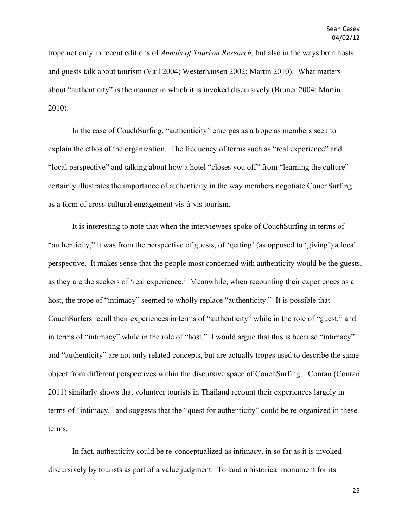trope not only in recent editions of *Annals of Tourism Research*, but also in the ways both hosts and guests talk about tourism (Vail 2004; Westerhausen 2002; Martin 2010). What matters about "authenticity" is the manner in which it is invoked discursively (Bruner 2004; Martin 2010).

In the case of CouchSurfing, "authenticity" emerges as a trope as members seek to explain the ethos of the organization. The frequency of terms such as "real experience" and "local perspective" and talking about how a hotel "closes you off" from "learning the culture" certainly illustrates the importance of authenticity in the way members negotiate CouchSurfing as a form of cross-cultural engagement vis-à-vis tourism.

It is interesting to note that when the interviewees spoke of CouchSurfing in terms of "authenticity," it was from the perspective of guests, of 'getting' (as opposed to 'giving') a local perspective. It makes sense that the people most concerned with authenticity would be the guests, as they are the seekers of 'real experience.' Meanwhile, when recounting their experiences as a host, the trope of "intimacy" seemed to wholly replace "authenticity." It is possible that CouchSurfers recall their experiences in terms of "authenticity" while in the role of "guest," and in terms of "intimacy" while in the role of "host." I would argue that this is because "intimacy" and "authenticity" are not only related concepts, but are actually tropes used to describe the same object from different perspectives within the discursive space of CouchSurfing. Conran (Conran 2011) similarly shows that volunteer tourists in Thailand recount their experiences largely in terms of "intimacy," and suggests that the "quest for authenticity" could be re-organized in these terms.

In fact, authenticity could be re-conceptualized as intimacy, in so far as it is invoked discursively by tourists as part of a value judgment. To laud a historical monument for its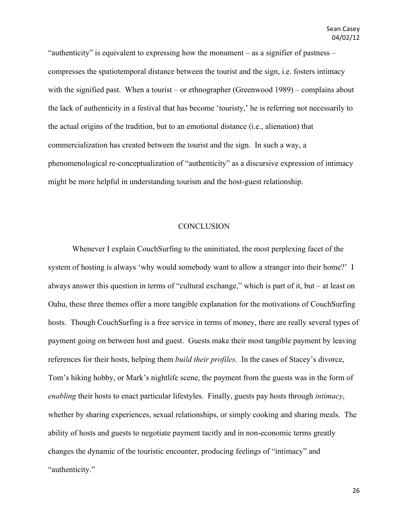"authenticity" is equivalent to expressing how the monument – as a signifier of pastness – compresses the spatiotemporal distance between the tourist and the sign, i.e. fosters intimacy with the signified past. When a tourist – or ethnographer (Greenwood 1989) – complains about the lack of authenticity in a festival that has become 'touristy,' he is referring not necessarily to the actual origins of the tradition, but to an emotional distance (i.e., alienation) that commercialization has created between the tourist and the sign. In such a way, a phenomenological re-conceptualization of "authenticity" as a discursive expression of intimacy might be more helpful in understanding tourism and the host-guest relationship.

#### **CONCLUSION**

Whenever I explain CouchSurfing to the uninitiated, the most perplexing facet of the system of hosting is always 'why would somebody want to allow a stranger into their home?' I always answer this question in terms of "cultural exchange," which is part of it, but – at least on Oahu, these three themes offer a more tangible explanation for the motivations of CouchSurfing hosts. Though CouchSurfing is a free service in terms of money, there are really several types of payment going on between host and guest. Guests make their most tangible payment by leaving references for their hosts, helping them *build their profiles*. In the cases of Stacey's divorce, Tom's hiking hobby, or Mark's nightlife scene, the payment from the guests was in the form of *enabling* their hosts to enact particular lifestyles. Finally, guests pay hosts through *intimacy*, whether by sharing experiences, sexual relationships, or simply cooking and sharing meals. The ability of hosts and guests to negotiate payment tacitly and in non-economic terms greatly changes the dynamic of the touristic encounter, producing feelings of "intimacy" and "authenticity."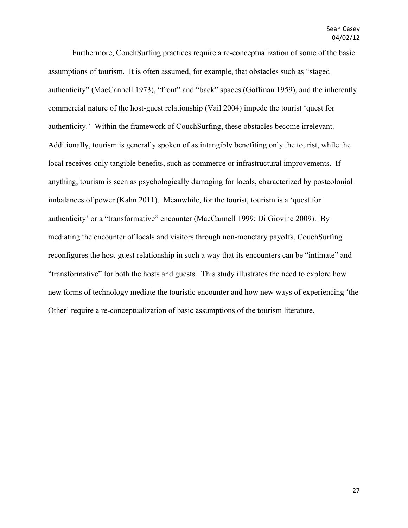Furthermore, CouchSurfing practices require a re-conceptualization of some of the basic assumptions of tourism. It is often assumed, for example, that obstacles such as "staged authenticity" (MacCannell 1973), "front" and "back" spaces (Goffman 1959), and the inherently commercial nature of the host-guest relationship (Vail 2004) impede the tourist 'quest for authenticity.' Within the framework of CouchSurfing, these obstacles become irrelevant. Additionally, tourism is generally spoken of as intangibly benefiting only the tourist, while the local receives only tangible benefits, such as commerce or infrastructural improvements. If anything, tourism is seen as psychologically damaging for locals, characterized by postcolonial imbalances of power (Kahn 2011). Meanwhile, for the tourist, tourism is a 'quest for authenticity' or a "transformative" encounter (MacCannell 1999; Di Giovine 2009). By mediating the encounter of locals and visitors through non-monetary payoffs, CouchSurfing reconfigures the host-guest relationship in such a way that its encounters can be "intimate" and "transformative" for both the hosts and guests. This study illustrates the need to explore how new forms of technology mediate the touristic encounter and how new ways of experiencing 'the Other' require a re-conceptualization of basic assumptions of the tourism literature.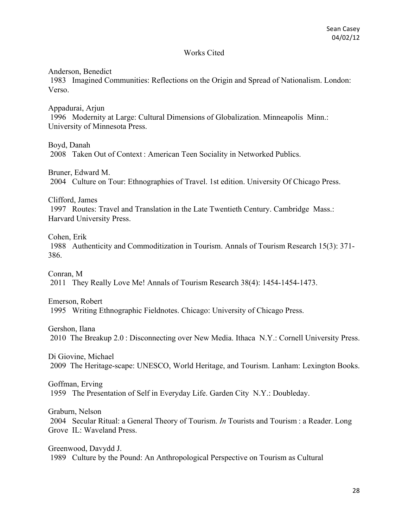## Works Cited

Anderson, Benedict

1983 Imagined Communities: Reflections on the Origin and Spread of Nationalism. London: Verso.

Appadurai, Arjun 1996 Modernity at Large: Cultural Dimensions of Globalization. Minneapolis Minn.: University of Minnesota Press.

Boyd, Danah 2008 Taken Out of Context : American Teen Sociality in Networked Publics.

Bruner, Edward M. 2004 Culture on Tour: Ethnographies of Travel. 1st edition. University Of Chicago Press.

Clifford, James

1997 Routes: Travel and Translation in the Late Twentieth Century. Cambridge Mass.: Harvard University Press.

Cohen, Erik

1988 Authenticity and Commoditization in Tourism. Annals of Tourism Research 15(3): 371- 386.

Conran, M 2011 They Really Love Me! Annals of Tourism Research 38(4): 1454-1454-1473.

Emerson, Robert 1995 Writing Ethnographic Fieldnotes. Chicago: University of Chicago Press.

Gershon, Ilana 2010 The Breakup 2.0 : Disconnecting over New Media. Ithaca N.Y.: Cornell University Press.

Di Giovine, Michael 2009 The Heritage-scape: UNESCO, World Heritage, and Tourism. Lanham: Lexington Books.

Goffman, Erving 1959 The Presentation of Self in Everyday Life. Garden City N.Y.: Doubleday.

Graburn, Nelson 2004 Secular Ritual: a General Theory of Tourism. *In* Tourists and Tourism : a Reader. Long Grove IL: Waveland Press.

Greenwood, Davydd J. 1989 Culture by the Pound: An Anthropological Perspective on Tourism as Cultural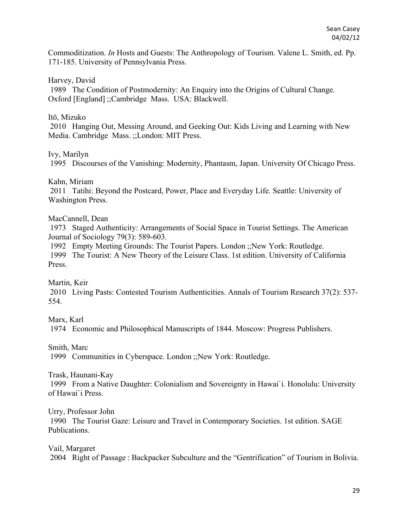Commoditization. *In* Hosts and Guests: The Anthropology of Tourism. Valene L. Smith, ed. Pp. 171-185. University of Pennsylvania Press.

Harvey, David

1989 The Condition of Postmodernity: An Enquiry into the Origins of Cultural Change. Oxford [England] ;;Cambridge Mass. USA: Blackwell.

## Itō, Mizuko

2010 Hanging Out, Messing Around, and Geeking Out: Kids Living and Learning with New Media. Cambridge Mass. ;;London: MIT Press.

# Ivy, Marilyn

1995 Discourses of the Vanishing: Modernity, Phantasm, Japan. University Of Chicago Press.

## Kahn, Miriam

2011 Tatihi: Beyond the Postcard, Power, Place and Everyday Life. Seattle: University of Washington Press.

# MacCannell, Dean

1973 Staged Authenticity: Arrangements of Social Space in Tourist Settings. The American Journal of Sociology 79(3): 589-603.

1992 Empty Meeting Grounds: The Tourist Papers. London ;;New York: Routledge.

1999 The Tourist: A New Theory of the Leisure Class. 1st edition. University of California Press.

Martin, Keir

2010 Living Pasts: Contested Tourism Authenticities. Annals of Tourism Research 37(2): 537- 554.

Marx, Karl

1974 Economic and Philosophical Manuscripts of 1844. Moscow: Progress Publishers.

Smith, Marc

1999 Communities in Cyberspace. London ;;New York: Routledge.

Trask, Haunani-Kay

1999 From a Native Daughter: Colonialism and Sovereignty in Hawai`i. Honolulu: University of Hawai`i Press.

Urry, Professor John

1990 The Tourist Gaze: Leisure and Travel in Contemporary Societies. 1st edition. SAGE Publications.

Vail, Margaret 2004 Right of Passage : Backpacker Subculture and the "Gentrification" of Tourism in Bolivia.